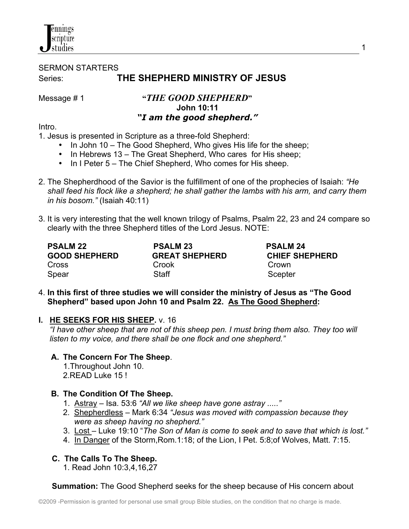## nnings cripture studies

# SERMON STARTERS Series: **THE SHEPHERD MINISTRY OF JESUS**

Message # 1 **"***THE GOOD SHEPHERD***" John 10:11**  *"I am the good shepherd."*

Intro.

1. Jesus is presented in Scripture as a three-fold Shepherd:

- In John 10 The Good Shepherd, Who gives His life for the sheep;
- In Hebrews 13 The Great Shepherd, Who cares for His sheep;
- In I Peter 5 The Chief Shepherd, Who comes for His sheep.
- 2. The Shepherdhood of the Savior is the fulfillment of one of the prophecies of Isaiah: *"He shall feed his flock like a shepherd; he shall gather the lambs with his arm, and carry them in his bosom."* (Isaiah 40:11)
- 3. It is very interesting that the well known trilogy of Psalms, Psalm 22, 23 and 24 compare so clearly with the three Shepherd titles of the Lord Jesus. NOTE:

| <b>PSALM 22</b><br><b>GOOD SHEPHERD</b> | <b>PSALM 23</b><br><b>GREAT SHEPHERD</b> | <b>PSALM 24</b><br><b>CHIEF SHEPHERD</b> |
|-----------------------------------------|------------------------------------------|------------------------------------------|
| <b>Cross</b>                            | Crook                                    | Crown                                    |
| Spear                                   | Staff                                    | Scepter                                  |

4. **In this first of three studies we will consider the ministry of Jesus as "The Good Shepherd" based upon John 10 and Psalm 22. As The Good Shepherd:**

### **I. HE SEEKS FOR HIS SHEEP.** v. 16

 *"I have other sheep that are not of this sheep pen. I must bring them also. They too will listen to my voice, and there shall be one flock and one shepherd."*

### **A. The Concern For The Sheep**.

 1.Throughout John 10. 2.READ Luke 15 !

## **B. The Condition Of The Sheep.**

- 1. Astray Isa. 53:6 *"All we like sheep have gone astray ....."*
- 2. Shepherdless Mark 6:34 *"Jesus was moved with compassion because they were as sheep having no shepherd."*
- 3. Lost Luke 19:10 "*The Son of Man is come to seek and to save that which is lost."*
- 4. In Danger of the Storm,Rom.1:18; of the Lion, I Pet. 5:8;of Wolves, Matt. 7:15.

## **C. The Calls To The Sheep.**

1. Read John 10:3,4,16,27

**Summation:** The Good Shepherd seeks for the sheep because of His concern about